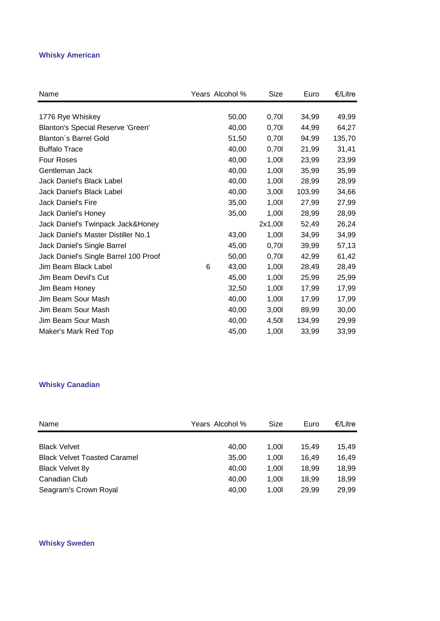#### **Whisky American**

| Name                                  | Years Alcohol % |       | Size    | Euro   | €/Litre |
|---------------------------------------|-----------------|-------|---------|--------|---------|
|                                       |                 |       |         |        |         |
| 1776 Rye Whiskey                      |                 | 50,00 | 0,70    | 34,99  | 49,99   |
| Blanton's Special Reserve 'Green'     |                 | 40,00 | 0,701   | 44,99  | 64,27   |
| <b>Blanton's Barrel Gold</b>          |                 | 51,50 | 0,701   | 94,99  | 135,70  |
| <b>Buffalo Trace</b>                  |                 | 40,00 | 0,701   | 21,99  | 31,41   |
| <b>Four Roses</b>                     |                 | 40,00 | 1,001   | 23,99  | 23,99   |
| Gentleman Jack                        |                 | 40,00 | 1,001   | 35,99  | 35,99   |
| Jack Daniel's Black Label             |                 | 40,00 | 1,001   | 28,99  | 28,99   |
| Jack Daniel's Black Label             |                 | 40,00 | 3,001   | 103,99 | 34,66   |
| Jack Daniel's Fire                    |                 | 35,00 | 1,001   | 27,99  | 27,99   |
| Jack Daniel's Honey                   |                 | 35,00 | 1,001   | 28,99  | 28,99   |
| Jack Daniel's Twinpack Jack&Honey     |                 |       | 2x1,00l | 52,49  | 26,24   |
| Jack Daniel's Master Distiller No.1   |                 | 43,00 | 1,001   | 34,99  | 34,99   |
| Jack Daniel's Single Barrel           |                 | 45,00 | 0,701   | 39,99  | 57,13   |
| Jack Daniel's Single Barrel 100 Proof |                 | 50,00 | 0,701   | 42.99  | 61,42   |
| Jim Beam Black Label                  | 6               | 43,00 | 1,001   | 28,49  | 28,49   |
| Jim Beam Devil's Cut                  |                 | 45,00 | 1,001   | 25,99  | 25,99   |
| Jim Beam Honey                        |                 | 32,50 | 1,001   | 17,99  | 17,99   |
| Jim Beam Sour Mash                    |                 | 40,00 | 1,001   | 17,99  | 17,99   |
| Jim Beam Sour Mash                    |                 | 40,00 | 3,001   | 89,99  | 30,00   |
| Jim Beam Sour Mash                    |                 | 40,00 | 4,501   | 134,99 | 29,99   |
| Maker's Mark Red Top                  |                 | 45,00 | 1,00    | 33,99  | 33,99   |

# **Whisky Canadian**

| Name                                | Years Alcohol % | Size | Euro  | €/Litre |
|-------------------------------------|-----------------|------|-------|---------|
|                                     |                 |      |       |         |
| <b>Black Velvet</b>                 | 40.00           | 1.00 | 15.49 | 15.49   |
| <b>Black Velvet Toasted Caramel</b> | 35,00           | 1.00 | 16.49 | 16,49   |
| Black Velvet 8y                     | 40,00           | 1.00 | 18.99 | 18,99   |
| Canadian Club                       | 40.00           | 1.00 | 18.99 | 18.99   |
| Seagram's Crown Royal               | 40,00           | 1.00 | 29.99 | 29,99   |

#### **Whisky Sweden**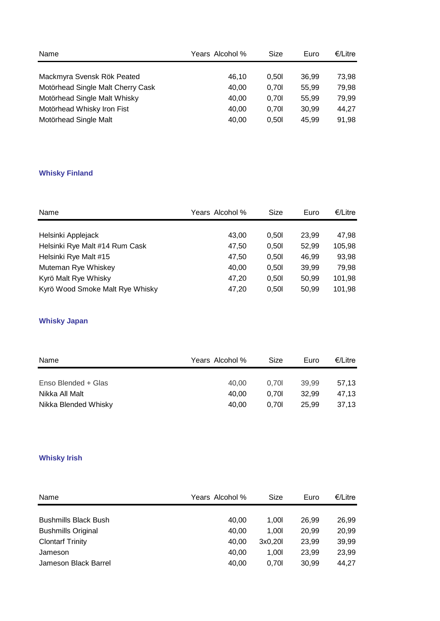| Name                              | Years Alcohol % | Size  | Euro  | €/Litre |
|-----------------------------------|-----------------|-------|-------|---------|
|                                   |                 |       |       |         |
| Mackmyra Svensk Rök Peated        | 46.10           | 0.50  | 36.99 | 73,98   |
| Motörhead Single Malt Cherry Cask | 40.00           | 0.70  | 55.99 | 79,98   |
| Motörhead Single Malt Whisky      | 40.00           | 0.70  | 55.99 | 79,99   |
| Motörhead Whisky Iron Fist        | 40.00           | 0.70  | 30.99 | 44,27   |
| Motörhead Single Malt             | 40,00           | 0.501 | 45.99 | 91,98   |

## **Whisky Finland**

| Name                            | Years Alcohol % | Size  | Euro  | €/Litre |
|---------------------------------|-----------------|-------|-------|---------|
|                                 |                 |       |       |         |
| Helsinki Applejack              | 43.00           | 0.501 | 23.99 | 47,98   |
| Helsinki Rye Malt #14 Rum Cask  | 47,50           | 0.501 | 52,99 | 105,98  |
| Helsinki Rye Malt #15           | 47,50           | 0.501 | 46.99 | 93,98   |
| Muteman Rye Whiskey             | 40,00           | 0.501 | 39.99 | 79,98   |
| Kyrö Malt Rye Whisky            | 47,20           | 0.501 | 50.99 | 101,98  |
| Kyrö Wood Smoke Malt Rye Whisky | 47,20           | 0.501 | 50,99 | 101,98  |

# **Whisky Japan**

| Name                 | Years Alcohol % | Size | Euro  | €/Litre |
|----------------------|-----------------|------|-------|---------|
|                      |                 |      |       |         |
| Enso Blended + Glas  | 40.00           | 0.70 | 39.99 | 57.13   |
| Nikka All Malt       | 40.00           | 0.70 | 32.99 | 47.13   |
| Nikka Blended Whisky | 40.00           | 0.70 | 25.99 | 37.13   |

# **Whisky Irish**

| Name                        | Years Alcohol % | Size    | Euro  | €/Litre |
|-----------------------------|-----------------|---------|-------|---------|
|                             |                 |         |       |         |
| <b>Bushmills Black Bush</b> | 40.00           | 1.00I   | 26.99 | 26,99   |
| <b>Bushmills Original</b>   | 40.00           | 1.00I   | 20.99 | 20,99   |
| <b>Clontarf Trinity</b>     | 40.00           | 3x0.20l | 23.99 | 39,99   |
| Jameson                     | 40.00           | 1.00I   | 23.99 | 23,99   |
| Jameson Black Barrel        | 40.00           | 0.70    | 30.99 | 44.27   |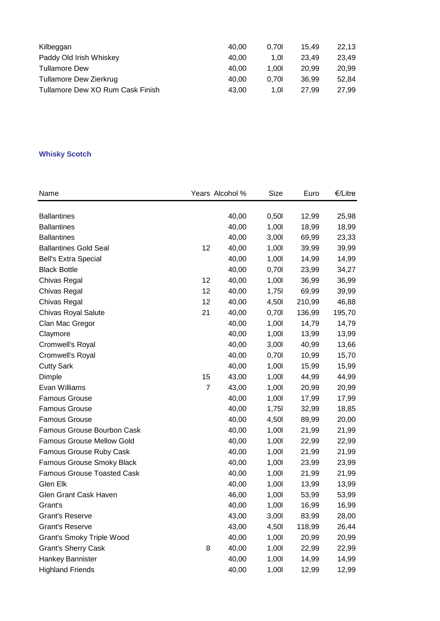| Kilbeggan                        | 40.00 | 0.70  | 15.49 | 22.13 |
|----------------------------------|-------|-------|-------|-------|
| Paddy Old Irish Whiskey          | 40.00 | 1.01  | 23.49 | 23.49 |
| <b>Tullamore Dew</b>             | 40.00 | 1.00I | 20.99 | 20.99 |
| Tullamore Dew Zierkrug           | 40.00 | 0.70  | 36.99 | 52.84 |
| Tullamore Dew XO Rum Cask Finish | 43.00 | 1.OI  | 27.99 | 27.99 |

### **Whisky Scotch**

| Name                              |                | Years Alcohol % | Size  | Euro   | €/Litre |
|-----------------------------------|----------------|-----------------|-------|--------|---------|
|                                   |                |                 |       |        |         |
| <b>Ballantines</b>                |                | 40,00           | 0,501 | 12,99  | 25,98   |
| <b>Ballantines</b>                |                | 40,00           | 1,001 | 18,99  | 18,99   |
| <b>Ballantines</b>                |                | 40,00           | 3,001 | 69,99  | 23,33   |
| <b>Ballantines Gold Seal</b>      | 12             | 40,00           | 1,00  | 39,99  | 39,99   |
| <b>Bell's Extra Special</b>       |                | 40,00           | 1,00  | 14,99  | 14,99   |
| <b>Black Bottle</b>               |                | 40,00           | 0,701 | 23,99  | 34,27   |
| Chivas Regal                      | 12             | 40,00           | 1,00  | 36,99  | 36,99   |
| Chivas Regal                      | 12             | 40,00           | 1,75  | 69,99  | 39,99   |
| Chivas Regal                      | 12             | 40,00           | 4,50  | 210,99 | 46,88   |
| Chivas Royal Salute               | 21             | 40,00           | 0,701 | 136,99 | 195,70  |
| Clan Mac Gregor                   |                | 40,00           | 1,00  | 14,79  | 14,79   |
| Claymore                          |                | 40,00           | 1,001 | 13,99  | 13,99   |
| Cromwell's Royal                  |                | 40,00           | 3,001 | 40,99  | 13,66   |
| Cromwell's Royal                  |                | 40,00           | 0,701 | 10,99  | 15,70   |
| <b>Cutty Sark</b>                 |                | 40,00           | 1,00  | 15,99  | 15,99   |
| Dimple                            | 15             | 43,00           | 1,001 | 44,99  | 44,99   |
| Evan Williams                     | $\overline{7}$ | 43,00           | 1,001 | 20,99  | 20,99   |
| <b>Famous Grouse</b>              |                | 40,00           | 1,00  | 17,99  | 17,99   |
| Famous Grouse                     |                | 40,00           | 1,75  | 32,99  | 18,85   |
| <b>Famous Grouse</b>              |                | 40,00           | 4,50  | 89,99  | 20,00   |
| <b>Famous Grouse Bourbon Cask</b> |                | 40,00           | 1,00  | 21,99  | 21,99   |
| <b>Famous Grouse Mellow Gold</b>  |                | 40,00           | 1,00  | 22,99  | 22,99   |
| Famous Grouse Ruby Cask           |                | 40,00           | 1,00  | 21,99  | 21,99   |
| Famous Grouse Smoky Black         |                | 40,00           | 1,00  | 23,99  | 23,99   |
| <b>Famous Grouse Toasted Cask</b> |                | 40,00           | 1,001 | 21,99  | 21,99   |
| Glen Elk                          |                | 40,00           | 1,00  | 13,99  | 13,99   |
| Glen Grant Cask Haven             |                | 46,00           | 1,00  | 53,99  | 53,99   |
| Grant's                           |                | 40,00           | 1,00  | 16,99  | 16,99   |
| <b>Grant's Reserve</b>            |                | 43,00           | 3,00  | 83,99  | 28,00   |
| <b>Grant's Reserve</b>            |                | 43,00           | 4,50  | 118,99 | 26,44   |
| Grant's Smoky Triple Wood         |                | 40,00           | 1,00  | 20,99  | 20,99   |
| <b>Grant's Sherry Cask</b>        | 8              | 40,00           | 1,00  | 22,99  | 22,99   |
| Hankey Bannister                  |                | 40,00           | 1,001 | 14,99  | 14,99   |
| <b>Highland Friends</b>           |                | 40,00           | 1,001 | 12,99  | 12,99   |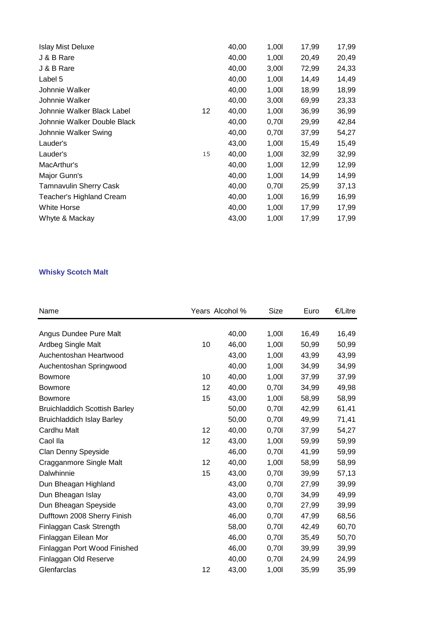| 40,00<br>1,001 | 20,49 |       |
|----------------|-------|-------|
|                |       | 20,49 |
| 40,00<br>3,001 | 72,99 | 24,33 |
| 40,00<br>1,001 | 14,49 | 14,49 |
| 40,00<br>1,001 | 18,99 | 18,99 |
| 40,00<br>3,001 | 69,99 | 23,33 |
| 40,00<br>1,001 | 36,99 | 36,99 |
| 40,00<br>0,70  | 29,99 | 42,84 |
| 40,00<br>0,70  | 37,99 | 54,27 |
| 43,00<br>1,001 | 15,49 | 15,49 |
| 40,00<br>1,001 | 32,99 | 32,99 |
| 40,00<br>1,001 | 12,99 | 12,99 |
| 1,001<br>40,00 | 14,99 | 14,99 |
| 40,00<br>0,701 | 25,99 | 37,13 |
| 40,00<br>1,001 | 16,99 | 16,99 |
| 40,00<br>1,001 | 17,99 | 17,99 |
| 43,00<br>1,001 | 17,99 | 17,99 |
|                |       |       |

## **Whisky Scotch Malt**

| Name                                 |    | Years Alcohol % | Size  | Euro  | €/Litre |
|--------------------------------------|----|-----------------|-------|-------|---------|
|                                      |    |                 |       |       |         |
| Angus Dundee Pure Malt               |    | 40,00           | 1,001 | 16,49 | 16,49   |
| Ardbeg Single Malt                   | 10 | 46,00           | 1,00  | 50,99 | 50,99   |
| Auchentoshan Heartwood               |    | 43,00           | 1,00  | 43,99 | 43,99   |
| Auchentoshan Springwood              |    | 40,00           | 1,00  | 34,99 | 34,99   |
| <b>Bowmore</b>                       | 10 | 40,00           | 1,00  | 37,99 | 37,99   |
| <b>Bowmore</b>                       | 12 | 40,00           | 0,701 | 34,99 | 49,98   |
| <b>Bowmore</b>                       | 15 | 43,00           | 1,00  | 58,99 | 58,99   |
| <b>Bruichladdich Scottish Barley</b> |    | 50,00           | 0,701 | 42,99 | 61,41   |
| <b>Bruichladdich Islay Barley</b>    |    | 50,00           | 0,701 | 49,99 | 71,41   |
| Cardhu Malt                          | 12 | 40,00           | 0,701 | 37,99 | 54,27   |
| Caol Ila                             | 12 | 43,00           | 1,001 | 59,99 | 59,99   |
| Clan Denny Speyside                  |    | 46,00           | 0,701 | 41,99 | 59,99   |
| Cragganmore Single Malt              | 12 | 40,00           | 1,00  | 58,99 | 58,99   |
| Dalwhinnie                           | 15 | 43,00           | 0,701 | 39,99 | 57,13   |
| Dun Bheagan Highland                 |    | 43,00           | 0,701 | 27,99 | 39,99   |
| Dun Bheagan Islay                    |    | 43,00           | 0,701 | 34,99 | 49,99   |
| Dun Bheagan Speyside                 |    | 43,00           | 0,701 | 27,99 | 39,99   |
| Dufftown 2008 Sherry Finish          |    | 46,00           | 0,701 | 47,99 | 68,56   |
| Finlaggan Cask Strength              |    | 58,00           | 0,701 | 42,49 | 60,70   |
| Finlaggan Eilean Mor                 |    | 46,00           | 0,701 | 35,49 | 50,70   |
| Finlaggan Port Wood Finished         |    | 46,00           | 0,701 | 39,99 | 39,99   |
| Finlaggan Old Reserve                |    | 40,00           | 0,701 | 24,99 | 24,99   |
| Glenfarclas                          | 12 | 43,00           | 1,00  | 35,99 | 35,99   |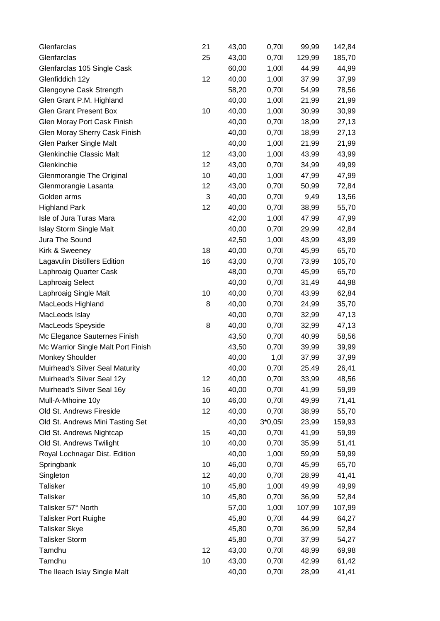| Glenfarclas                         | 21 | 43,00 | 0,701     | 99,99  | 142,84 |
|-------------------------------------|----|-------|-----------|--------|--------|
| Glenfarclas                         | 25 | 43,00 | 0,701     | 129,99 | 185,70 |
| Glenfarclas 105 Single Cask         |    | 60,00 | 1,00      | 44,99  | 44,99  |
| Glenfiddich 12y                     | 12 | 40,00 | 1,001     | 37,99  | 37,99  |
| Glengoyne Cask Strength             |    | 58,20 | 0,701     | 54,99  | 78,56  |
| Glen Grant P.M. Highland            |    | 40,00 | 1,00      | 21,99  | 21,99  |
| <b>Glen Grant Present Box</b>       | 10 | 40,00 | 1,00      | 30,99  | 30,99  |
| Glen Moray Port Cask Finish         |    | 40,00 | 0,701     | 18,99  | 27,13  |
| Glen Moray Sherry Cask Finish       |    | 40,00 | 0,701     | 18,99  | 27,13  |
| <b>Glen Parker Single Malt</b>      |    | 40,00 | 1,00      | 21,99  | 21,99  |
| <b>Glenkinchie Classic Malt</b>     | 12 | 43,00 | 1,00      | 43,99  | 43,99  |
| Glenkinchie                         | 12 | 43,00 | 0,701     | 34,99  | 49,99  |
| Glenmorangie The Original           | 10 | 40,00 | 1,00      | 47,99  | 47,99  |
| Glenmorangie Lasanta                | 12 | 43,00 | 0,701     | 50,99  | 72,84  |
| Golden arms                         | 3  | 40,00 | 0,701     | 9,49   | 13,56  |
| <b>Highland Park</b>                | 12 | 40,00 | 0,701     | 38,99  | 55,70  |
| Isle of Jura Turas Mara             |    | 42,00 | 1,00      | 47,99  | 47,99  |
| <b>Islay Storm Single Malt</b>      |    | 40,00 | 0,701     | 29,99  | 42,84  |
| Jura The Sound                      |    | 42,50 | 1,00      | 43,99  | 43,99  |
| Kirk & Sweeney                      | 18 | 40,00 | 0,701     | 45,99  | 65,70  |
| <b>Lagavulin Distillers Edition</b> | 16 | 43,00 | 0,701     | 73,99  | 105,70 |
| Laphroaig Quarter Cask              |    | 48,00 | 0,701     | 45,99  | 65,70  |
| Laphroaig Select                    |    | 40,00 | 0,701     | 31,49  | 44,98  |
| Laphroaig Single Malt               | 10 | 40,00 | 0,701     | 43,99  | 62,84  |
| MacLeods Highland                   | 8  | 40,00 | 0,701     | 24,99  | 35,70  |
| MacLeods Islay                      |    | 40,00 | 0,701     | 32,99  | 47,13  |
| MacLeods Speyside                   | 8  | 40,00 | 0,701     | 32,99  | 47,13  |
| Mc Elegance Sauternes Finish        |    | 43,50 | 0,701     | 40,99  | 58,56  |
| Mc Warrior Single Malt Port Finish  |    | 43,50 | 0,701     | 39,99  | 39,99  |
| <b>Monkey Shoulder</b>              |    | 40,00 | 1,01      | 37,99  | 37,99  |
| Muirhead's Silver Seal Maturity     |    | 40,00 | 0,701     | 25,49  | 26,41  |
| Muirhead's Silver Seal 12y          | 12 | 40,00 | 0,701     | 33,99  | 48,56  |
| Muirhead's Silver Seal 16y          | 16 | 40,00 | 0,701     | 41,99  | 59,99  |
| Mull-A-Mhoine 10y                   | 10 | 46,00 | 0,701     | 49,99  | 71,41  |
| Old St. Andrews Fireside            | 12 | 40,00 | 0,701     | 38,99  | 55,70  |
| Old St. Andrews Mini Tasting Set    |    | 40,00 | $3*0,051$ | 23,99  | 159,93 |
| Old St. Andrews Nightcap            | 15 | 40,00 | 0,701     | 41,99  | 59,99  |
| Old St. Andrews Twilight            | 10 | 40,00 | 0,701     | 35,99  | 51,41  |
| Royal Lochnagar Dist. Edition       |    | 40,00 | 1,00      | 59,99  | 59,99  |
| Springbank                          | 10 | 46,00 | 0,701     | 45,99  | 65,70  |
| Singleton                           | 12 | 40,00 | 0,701     | 28,99  | 41,41  |
| <b>Talisker</b>                     | 10 | 45,80 | 1,00      | 49,99  | 49,99  |
| <b>Talisker</b>                     | 10 | 45,80 | 0,701     | 36,99  | 52,84  |
| Talisker 57° North                  |    | 57,00 | 1,00      | 107,99 | 107,99 |
| <b>Talisker Port Ruighe</b>         |    | 45,80 | 0,701     | 44,99  | 64,27  |
| <b>Talisker Skye</b>                |    | 45,80 | 0,701     | 36,99  | 52,84  |
| <b>Talisker Storm</b>               |    | 45,80 | 0,701     | 37,99  | 54,27  |
| Tamdhu                              | 12 | 43,00 | 0,701     | 48,99  | 69,98  |
| Tamdhu                              | 10 | 43,00 | 0,701     | 42,99  | 61,42  |
| The Ileach Islay Single Malt        |    | 40,00 | 0,70      | 28,99  | 41,41  |
|                                     |    |       |           |        |        |